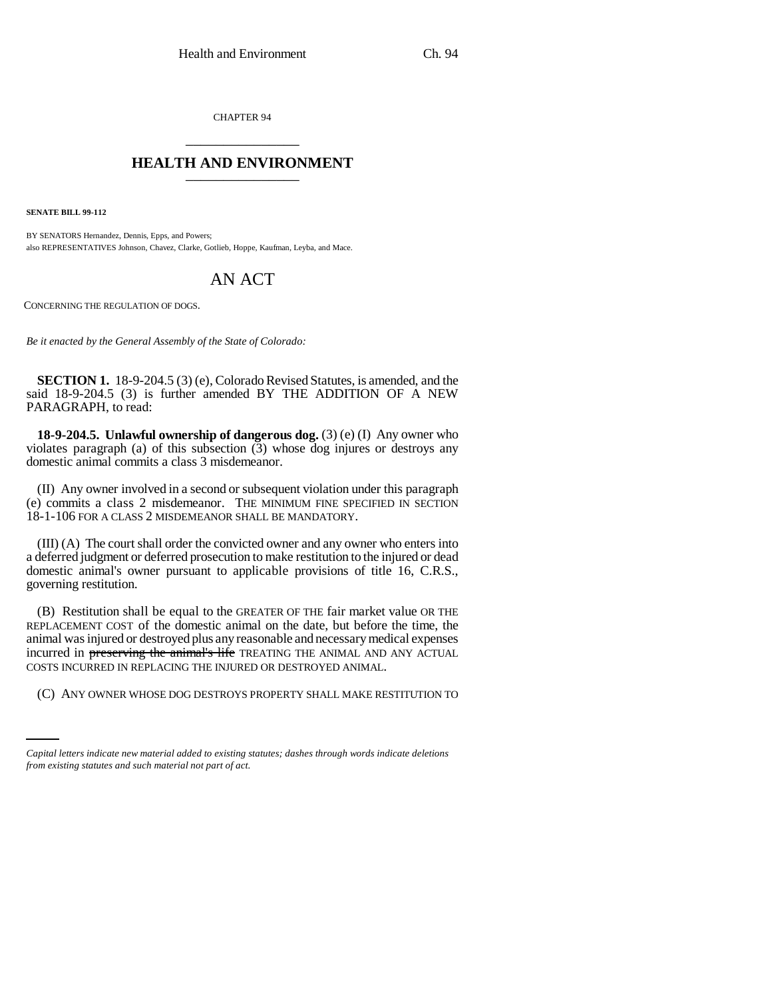CHAPTER 94 \_\_\_\_\_\_\_\_\_\_\_\_\_\_\_

## **HEALTH AND ENVIRONMENT** \_\_\_\_\_\_\_\_\_\_\_\_\_\_\_

**SENATE BILL 99-112** 

BY SENATORS Hernandez, Dennis, Epps, and Powers; also REPRESENTATIVES Johnson, Chavez, Clarke, Gotlieb, Hoppe, Kaufman, Leyba, and Mace.

## AN ACT

CONCERNING THE REGULATION OF DOGS.

*Be it enacted by the General Assembly of the State of Colorado:*

**SECTION 1.** 18-9-204.5 (3) (e), Colorado Revised Statutes, is amended, and the said 18-9-204.5 (3) is further amended BY THE ADDITION OF A NEW PARAGRAPH, to read:

**18-9-204.5. Unlawful ownership of dangerous dog.** (3) (e) (I) Any owner who violates paragraph (a) of this subsection  $(3)$  whose dog injures or destroys any domestic animal commits a class 3 misdemeanor.

(II) Any owner involved in a second or subsequent violation under this paragraph (e) commits a class 2 misdemeanor. THE MINIMUM FINE SPECIFIED IN SECTION 18-1-106 FOR A CLASS 2 MISDEMEANOR SHALL BE MANDATORY.

(III) (A) The court shall order the convicted owner and any owner who enters into a deferred judgment or deferred prosecution to make restitution to the injured or dead domestic animal's owner pursuant to applicable provisions of title 16, C.R.S., governing restitution.

COSTS INCURRED IN REPLACING THE INJURED OR DESTROYED ANIMAL. (B) Restitution shall be equal to the GREATER OF THE fair market value OR THE REPLACEMENT COST of the domestic animal on the date, but before the time, the animal was injured or destroyed plus any reasonable and necessary medical expenses incurred in preserving the animal's life TREATING THE ANIMAL AND ANY ACTUAL

(C) ANY OWNER WHOSE DOG DESTROYS PROPERTY SHALL MAKE RESTITUTION TO

*Capital letters indicate new material added to existing statutes; dashes through words indicate deletions from existing statutes and such material not part of act.*